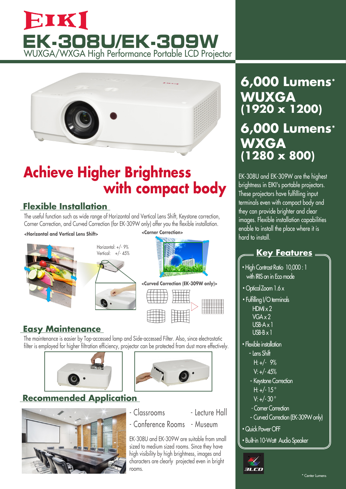# EIKI **EK-308U/EK-309W** WUXGA/WXGA High Performance Portable LCD Projector



# **Achieve Higher Brightness with compact body**

### **Flexible Installation**

The useful function such as wide range of Horizontal and Vertical Lens Shift, Keystone correction, Corner Correction, and Curved Correction (for EK-309W only) offer you the flexible installation.

### **<Horizontal and Vertical Lens Shift>**







### **Easy Maintenance**

The maintenance is easier by Top-accessed lamp and Side-accessed Filter. Also, since electrostatic filter is employed for higher filtration efficiency, projector can be protected from dust more effectively.





## **Recommended Application**





- Conference Rooms - Museum

EK-308U and EK-309W are suitable from small sized to medium sized rooms. Since they have high visibility by high brightness, images and characters are clearly projected even in bright rooms.

## **6,000 Lumens\* WXGA (1280 x 800) WUXGA (1920 x 1200) 6,000 Lumens\***

EK-308U and EK-309W are the highest brightness in EIKI's portable projectors. These projectors have fulfilling input terminals even with compact body and they can provide brighter and clear images. Flexible installation capabilities enable to install the place where it is hard to install.

## **Key Features**

- **・**High Contrast Ratio 10,000 : 1 with IRIS on in Eco mode
- **・**OpticalZoom 1.6 x
- **・**Fulfilling I/O terminals  $HMx2$  VGA x 2 USB-A x 1 USB-B x 1
- **・**Flexible installation
	- Lens Shift
		- $H: +/-$  9%
		- $V: +/- 45%$
	- Keystone Correction H:  $+/- 15^{\circ}$
	- $V· +/- 30°$
	- Corner Correction
	- Curved Correction (EK-309W only)
- **・**Quick Power OFF
- **・**Built-in 10-Watt Audio Speaker